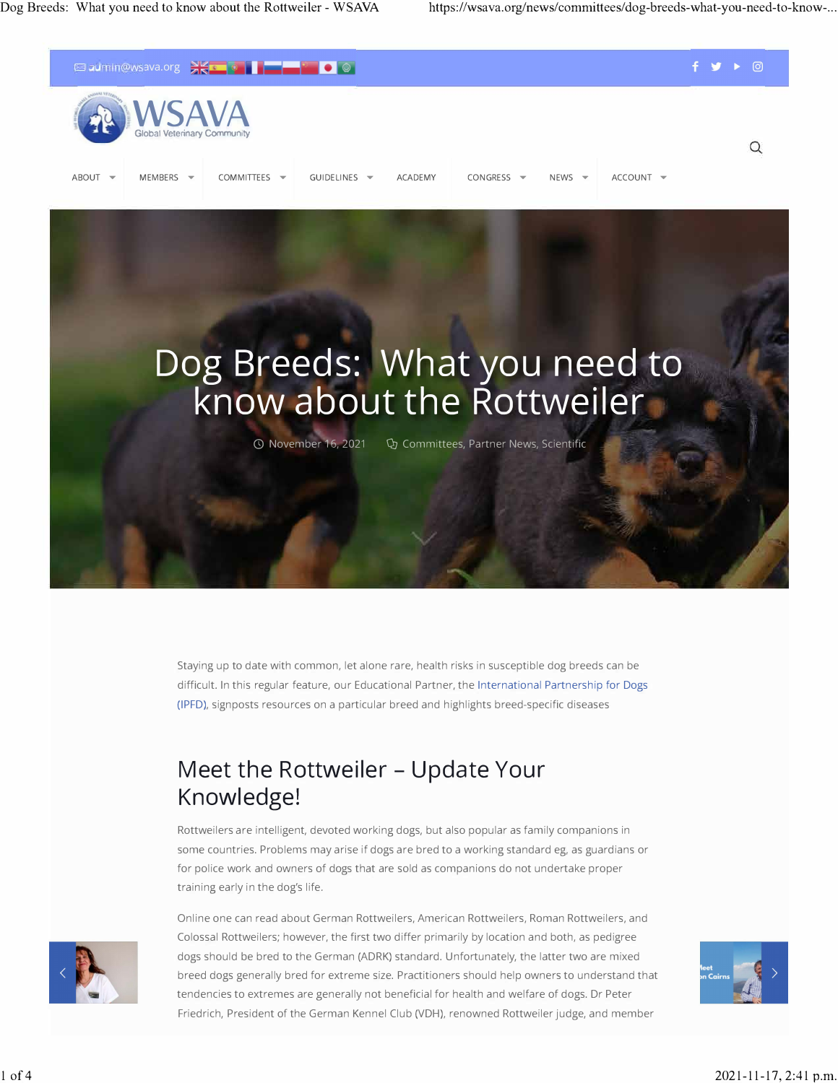



0 November 16, 2021 Q) Committees, Partner News, Scientific

Staying up to date with common, let alone rare, health risks in susceptible dog breeds can be difficult. In this regular feature, our Educational Partner, th[e International Partnership for Dogs](https://dogwellnet.com/ipfd/)  [\(IPFD\),](https://dogwellnet.com/ipfd/) signposts resources on a particular breed and highlights breed-specific diseases

## **Meet the Rottweiler - Update Your Knowledge!**

Rottweilers are intelligent, devoted working dogs, but also popular as family companions in some countries. Problems may arise if dogs are bred to a working standard eg, as guardians or for police work and owners of dogs that are sold as companions do not undertake proper training early in the dog's life.



Online one can read about German Rottweilers, American Rottweilers, Roman Rottweilers, and Colossal Rottweilers; however, the first two differ primarily by location and both, as pedigree dogs should be bred to the German (ADRK) standard. Unfortunately, the latter two are mixed breed dogs generally bred for extreme size. Practitioners should help owners to understand that tendencies to extremes are generally not beneficial for health and welfare of dogs. Dr Peter Friedrich, President of the German Kennel Club (VDH), renowned Rottweiler judge, and member

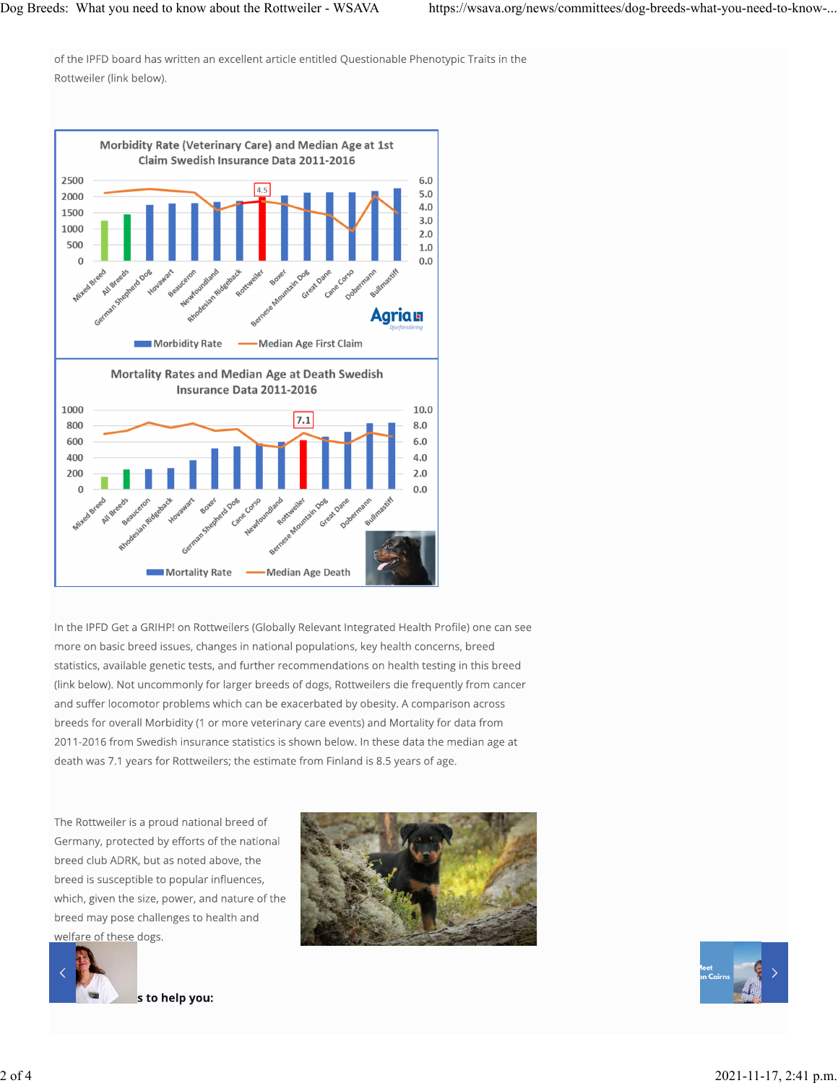of the IPFD board has written an excellent article entitled Questionable Phenotypic Traits in the Rottweiler (link below).



In the IPFD Get a GRIHP! on Rottweilers (Globally Relevant Integrated Health Profile) one can see more on basic breed issues, changes in national populations, key health concerns, breed statistics, available genetic tests, and further recommendations on health testing in this breed (link below). Not uncommonly for larger breeds of dogs, Rottweilers die frequently from cancer and suffer locomotor problems which can be exacerbated by obesity. A comparison across breeds for overall Morbidity (1 or more veterinary care events) and Mortality for data from 2011-2016 from Swedish insurance statistics is shown below. In these data the median age at death was 7.1 years for Rottweilers; the estimate from Finland is 8.5 years of age.

The Rottweiler is a proud national breed of Germany, protected by efforts of the national breed club ADRK, but as noted above, the breed is susceptible to popular influences, which, given the size, power, and nature of the breed may pose challenges to health and welfare of these dogs.





s to help you: